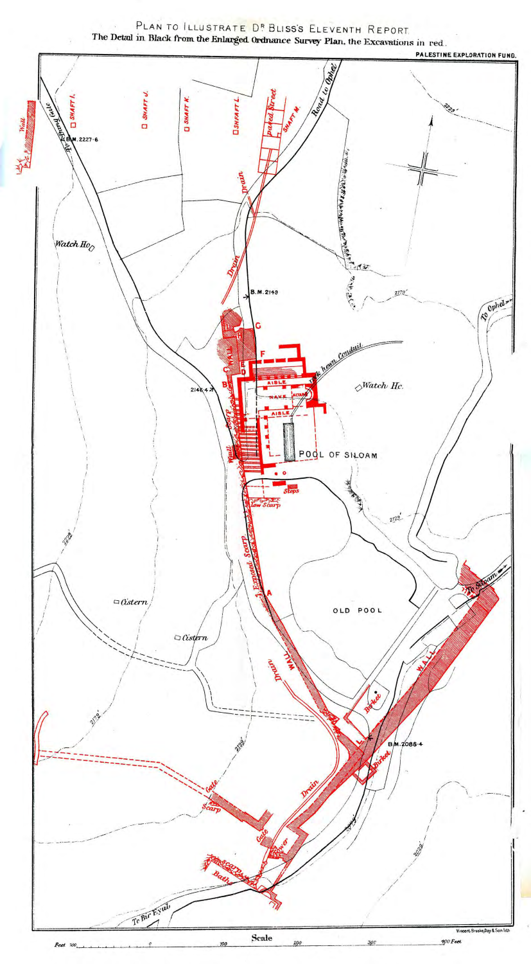PLAN TO ILLUSTRATE DE BLISS'S ELEVENTH REPORT. The Detail in Black from the Enlarged Ordnance Survey Plan, the Excavations in red.

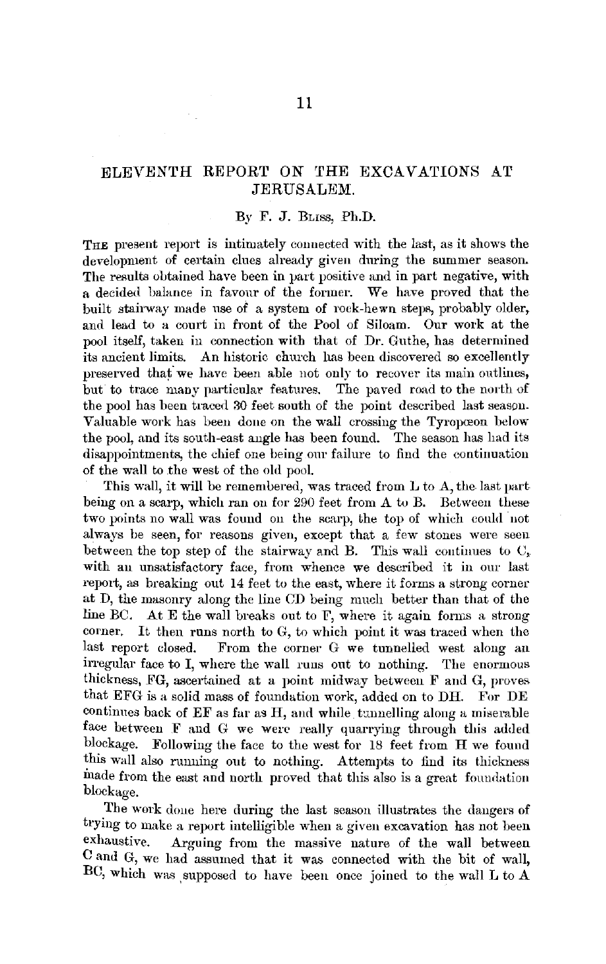## ELEVENTH REPORT *ON* THE EXCAVATIONS AT JERUSALEM.

## By F. J. Buss, Ph.D.

THE present report is intimately connected with the last, as it shows the development of certain clues already given during the summer season. The results obtained have been in vart positive and in part negative, with a decided balance in favour of the former. We have proved that the built stairway made use of a system of rock-hewn steps, probably older, and lead to a court in front of the Pool of Siloam. Our work at the pool itself, taken in connection with that of Dr. Guthe, has determined its ancient limits. An historic church has been discovered so excellently preserved thaf we have been able not only to recover its main outlines, but to trace many particular features. The paved road to the north of the pool has been traced 30 feet south of the point described last season. Valuable work has been done on the wall crossing the Tyropceon below the pool, and its south-east angle has been found. The season has had its disappointments, the chief one being our failure to find the continuation of the wall to the west of the old pool.

This wall, it will be remembered, was traced from L to A, the. last part being on a scarp, which ran on for 290 feet from A to B. Between these two points no wall was found on the scarp, the top of which could not always be seen, for reasons given, except that a few stones were seen between the top step of the stairway and B. This wall continues to  $C_r$ with an unsatisfactory face, from whence we described it in our last report, as breaking out  $14$  feet to the east, where it forms a strong corner at D, the masonry along the line CD being much better than that of the line BC. At E the wall breaks out to F, where it again forms a strong corner. It then runs north to G, to which point it was traced when the last report closed. From the corner G we tunnelled west along an irregular face to I, where the wall runs out to nothing. The enormous thickness, FG, ascertained at a point midway between F and G, proves that EFG is a solid mass of foundation work, added on to DH. For DE continues back of EF as far as H, and while tmmelling along a miserable face between F and G we were really quarrying through this added blockage. Following the face to the west for 18 feet from H we found this wall also running out to nothing. Attempts to find its thickness made from the east and north proved that this also is a great foundation blockage.

The work done here during the last season illustrates the dangers of trying to make a report intelligible when a given excavation has not been<br>exhaustive. A remine from the massive nature of the wall between Arguing from the massive nature of the wall between C and G, we had assumed that it was connected with the bit of wall, BC, which was supposed to have been once joined to the wall L to A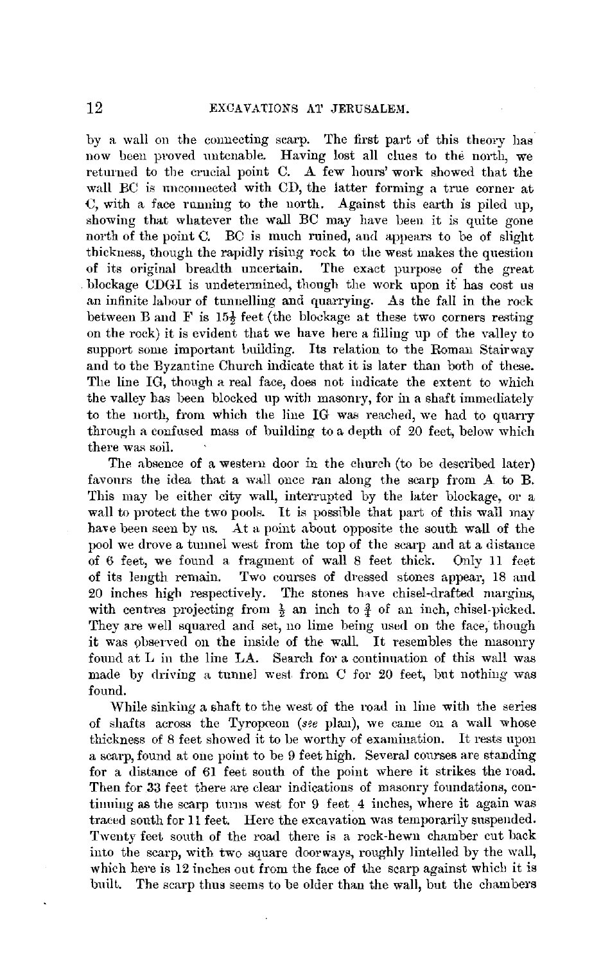by a wall on the connecting scarp. The first part of this theory has now been proved untenable. Having lost all clues to the north, we returned to the crucial point C. A few hours' work showed that the wall BC is unconnected with CD, the latter forming a true corner at  $C$ , with a face running to the north. Against this earth is piled up, showing that whatever the wall BC may have been it is quite gone north of the point  $C<sub>i</sub>$ . BC is much ruined, and appears to be of slight thickness, though the rapidly rising rock to the west makes the question<br>of its original breadth uncertain. The exact purpose of the great The exact purpose of the great blockage CDGI is undetermined, though the work upon it has cost us an infinite labour of tunnelling and quarrying. As the fall in the rock between B and F is  $15\frac{1}{6}$  feet (the blockage at these two corners resting on the rock) it is evident that we have here a filling up of the valley to support some important building. Its relation to the Roman Stairway and to the Byzantine Church indicate that it is later than both of these. The line IG, though a real face, does not indicate the extent to which the valley has been blocked up with masonry, for in a shaft immediately to the north, from which the line IG was reached, we had to quarry through a confused mass of building to a depth of 20 feet, below which there was soil.

The absence of a western door in the church (to be described later) favours the idea that a wall once ran along the scarp from A to B. This may be either city wall, interrupted by the later blockage, or a wall to protect the two pools. It is possible that part of this wall may have been seen by us. At a point about opposite the south wall of the pool we drove a tunnel west from the top of the scarp and at a distance of 6 feet, we found a fragment of wall 8 feet thick. Only 11 feet of its length remain. Two courses of dressed stones appear, 18 and 20 inches high respectively. The stones have chisel-drafted margins, with centres projecting from  $\frac{1}{2}$  an inch to  $\frac{3}{4}$  of an inch, chisel-picked. They are well squared and set, no lime being used on the face, though it was observed on the inside of the wall. It resembles the masonry found at L in the line LA. Search for a continuation of this wall was made by driving a tunnel west from C for 20 feet, but nothing was found.

While sinking a shaft to the west of the road in line with the series of shafts across the Tyropceon (see plan), we came on a wall whose thickness of 8 feet showed it to be worthy of examination. It rests upon a scarp, found at one point to be 9 feet high. Several courses are standing for a distance of 61 feet south of the point where it strikes the road. Then for 33 feet there are clear indications of masonry foundations, continuing as the scarp turns west for 9 feet 4 inches, where it again was traeed south for 11 feet. Here the excavation was temporarily suspended. Twenty feet south of the road there is a rock-hewn chamber cut back into the scarp, with two square doorways, roughly lintelled by the wall, which here is 12 inches out from the face of the scarp against which it is built. The scarp thus seems to be older than the wall, but the chambers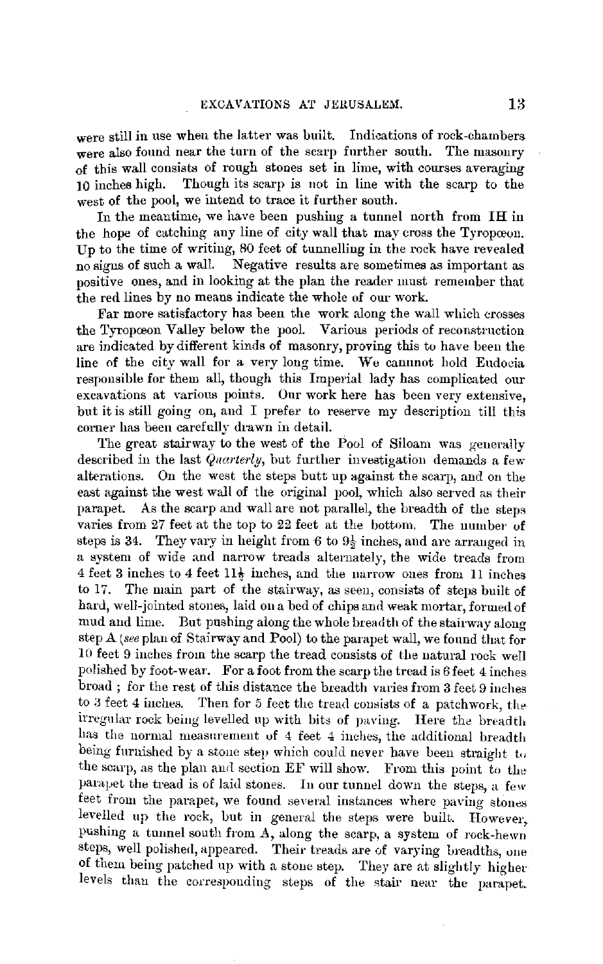were still in use when the latter was built. Indications of rock-chambers were also found near the turn of the scarp further south. The masonry of this wall consists of rough stones set in lime, with courses averaging 10 inches high. Though its scarp is uot in line with the scarp to the west of the pool, we intend to trace it further south.

In the meantime, we have been pushing a tunnel north from IH in the hope of catching any line of city wall that may cross the Tyropoeon. Up to the time of writing, 80 feet of tunnelling in the rock have revealed no signs of such a wall. Negative results are sometimes as important as positive ones, and in looking at the plan the reader must remember that the red lines by no means indicate the whole of our work.

Far more satisfactory has been the work along the wall which crosses the Tyropceon Valley below the pool. Various periods of reconstruction are indicated by different kinds of masonry, proving this to have been the line of the city wall for a very long time. We cannnot hold Eudocia responsible for them all, though this Imperial lady has complicated our excavations at Yarious points. Our work here has been very extensive, but it is still going on, and I prefer to reserve my description till this corner has been carefully drawn in detail.

The great stairway to the west of the Pool of Siloam was generally described in the last *Quarterly,* but further investigation demands a few alterations. On the west the steps butt up against the scarp, and on the east against the west wall of the original pool, which also served as their parapet. As the scarp and wall are not parallel, the breadth of the steps varies from 27 feet at the top to 22 feet at the bottom. The number of steps is 34. They vary in height from 6 to  $9\frac{1}{2}$  inches, and are arranged in a system of wide and narrow treads alternately, the wide treads from 4 feet 3 inches to 4 feet  $11\frac{1}{2}$  inches, and the narrow ones from 11 inches to 17. The main part of the stairway, as seen, consists of steps built of hard, well-jointed stones, laid on a bed of chips and weak mortar, formed of mud and lime. But pushing along the whole breadth of the stairway along step  $A$  (see plan of Stairway and Pool) to the parapet wall, we found that for 10 feet 9 inches from. the scarp the tread consists of the natural rock well polished by foot-wear. For a foot from the scarp the tread is 6 feet 4 inches broad ; for the rest of this distance the breadth varies from 3 feet 9 inches to  $3$  feet  $4$  inches. Then for  $5$  feet the tread consists of a patchwork, the irregular rock being levelled up with bits of paving. Here the breadth has the normal measurement of 4 feet 4 inches, the additional breadth being furnished by a stone step which could never have been straight to the scarp, as the plan and section  $EF$  will show. From this point to the parapet the tread is of laid stones. Iu onr tunnel down the steps, a few feet from the parapet, we found several instances where paving stones levelled up the rock, Lut in general the steps were built. However, pushing a tunnel south from A, along the scarp, a system of rock-hewn steps, well polished, appeared. Their treads are of varying breadths, one of them being patched up with a stone step. They are at slightly higher levels than the corresponding steps of the stair near the parapet\_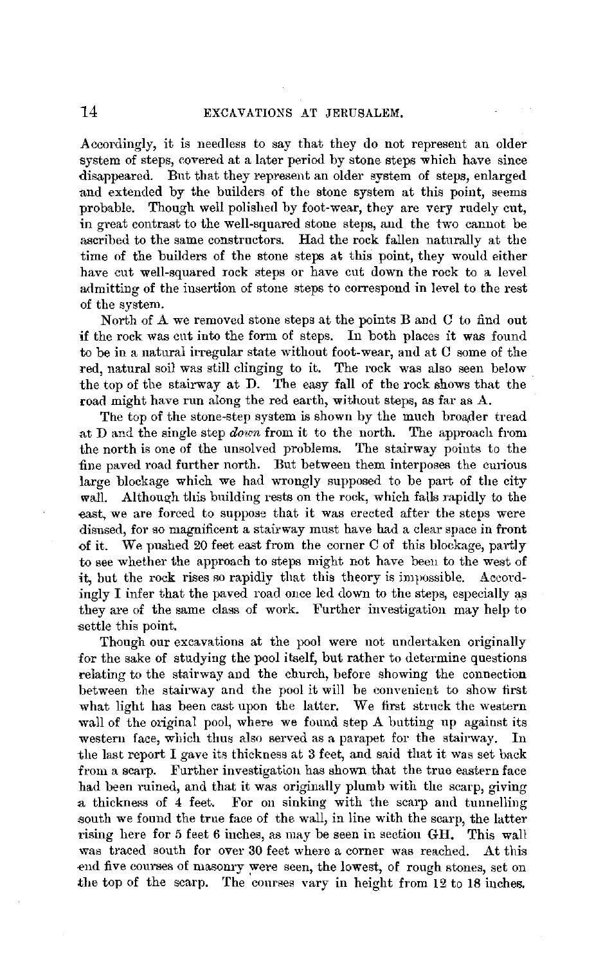Accordingly, it is needless to say that they do not represent an older system of steps, covered at a later period by stone steps which have since disappeared. Ent that they represent an older system of steps, enlarged and extended by the builders of the stone system at this point, seems probable. Though well polished by foot-wear, they are very rudely cut, in great contrast to the well-squared stone steps, and the two cannot be ascribed to the same constructors. Had the rock fallen naturally at the time of the builders of the stone steps **at** this point, they would either have cut well-squared rock steps or have cut down the rock to a level admitting of the insertion of stone steps to correspond **in** level to the rest of the system.

North of A we removed stone steps at the points Band G to find out if the rock was cnt into the form of steps. In both places it was found to be in a natural irregular state without foot-wear, and at C some of the red, natural soil was still clinging to it. The rock was also seen below the top of the stairway at D. The easy fall of the rock shows that the road might have run along the red earth, without steps, as far as A.

The top of the stone-step system is shown by the much broader tread at D and the single step *down* from it to the north. The approach from the north is one of the unsolved problems. The stairway points to the -fine paved road further north. But between them interposes the curious large blockage which we had wrongly supposed to be part of the city wall. Although this building rests on the rock, which falls rapidly to the east, we are forced to suppose that it was erected after the steps were disused, for so magnificent a stairway must have had a clear space in front of it. We pushed 20 feet east from the corner C of this blockage, partly to see whether the approach to steps might not have beeu to the west of it, but the rock rises so rapidly that this theory is impossible. Accordingly I infer that the paved road once led down to the steps, especially as they are of the same class of work. Further investigation may help to settle this point.

Though our excavations at the pool were not undertaken originally for the sake of studying the pool itself, but rather to determine questions relating to the stairway and the church, before showing the connection between the stairway and the pool it will be cmwenient to show first what light has been cast upon the latter. We first struck the western wall of the original pool, where we found step A butting up against its western face, which thus also served as a parapet for the stairway. In the last report I gave its thickness at 3 feet, and said that it was set back from a scarp. Further investigation has shown that the true eastern face had been ruined, and that it was originally plumb with the scarp, giving a thickness of 4 feet. For on sinking with the scarp and tunnelliug south we found the true face of the wall, in line with the scarp, the latter rising here for 5 feet 6 inches, as may be seen in section GH. This wall was traced south for over 30 feet where a corner was reached. At this end five courses of masonry were seen, the lowest, of rough stones, set on the top of the scarp. The courses vary in height from 12 to 18 inches.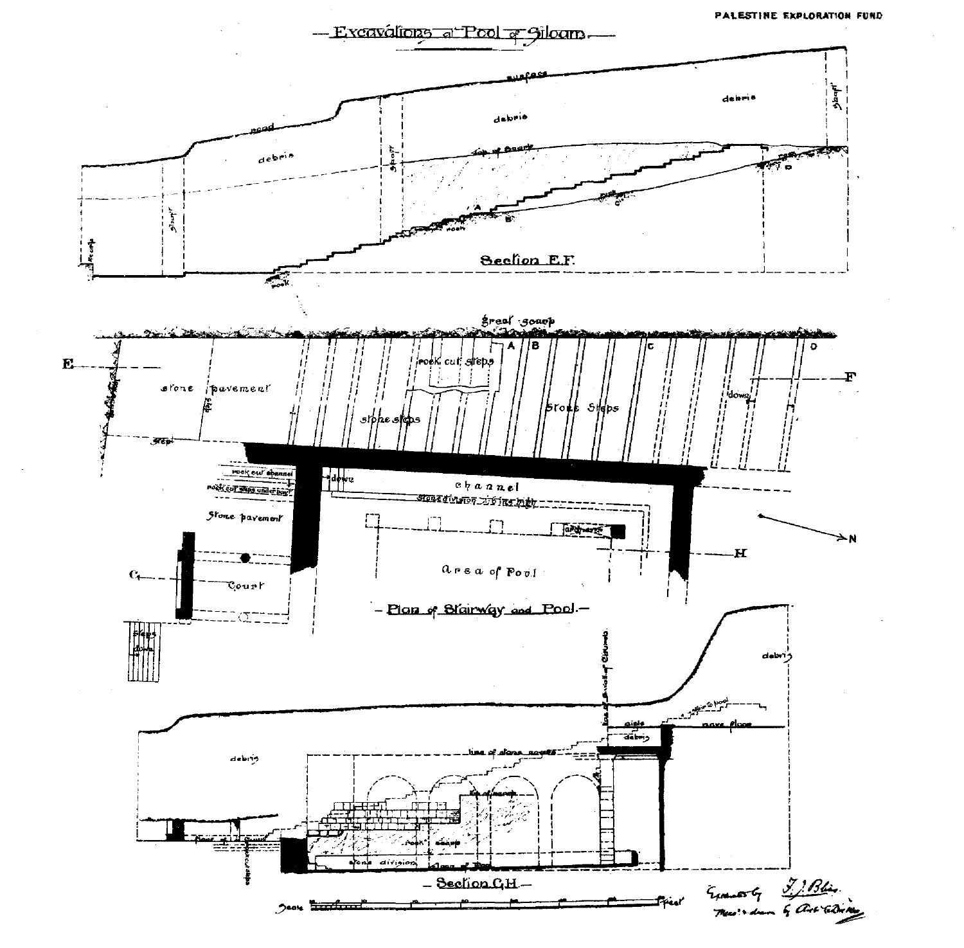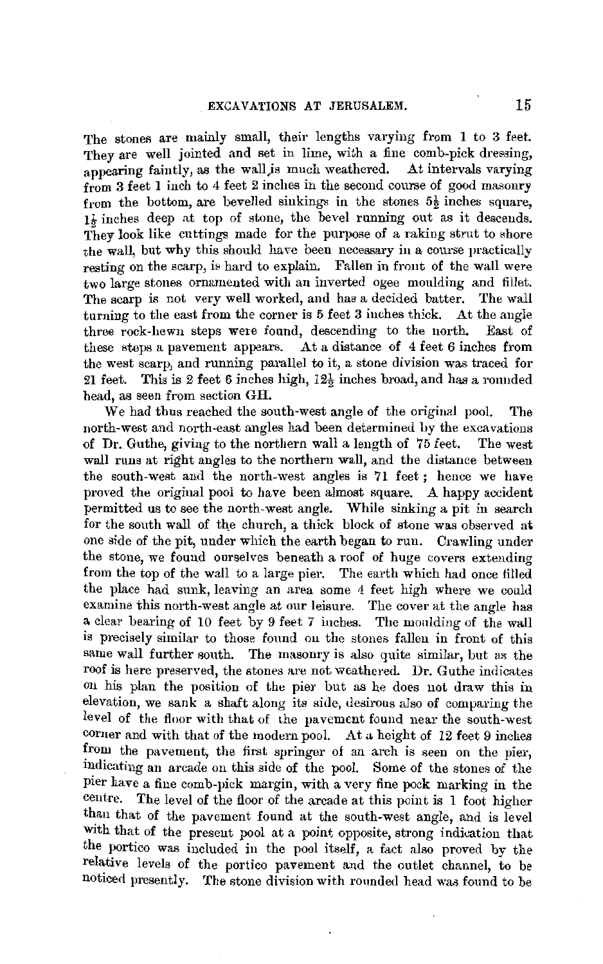The stones are mainly small, their lengths varying from **1** to 3 feet. They are well jointed and set in lime, with a fine comb-pick dressing, appearing faintly, as the wall is much weathered. At intervals varying from **3** feet 1 inch to 4 feet 2 inches in the second course of good masonry from the bottom, are bevelled sinkings in the stones  $5\frac{1}{2}$  inches square, I½ inches deep at top of stone, the bevel running out as it descends. They look like cuttings made for the purpose of a raking strut to shore the wall, but why this should have been necessary in a course practically resting on the scarp, is hard to explain. Fallen in front of the wall were two large stones ornamented with an inverted ogee moulding and fillet. The scarp is not very well worked, and has a decided batter. The wall turning to the east from the corner is 5 feet 3 inches thick. At the angle three rock-hewn steps were found, descending to the north. East of these steps a pavement appears. At a distance of 4 feet 6 inches from the west scarp, and running parallel to it, a stone division was traced for 21 feet. This is 2 feet 6 inches high, 12½ inches broad, and has a rounded bead, as seen from section GH.

We had thus reached the south-west angle of the original pool. The north-west and north-east angles had been determined by the excavations of **Dr.** Guthe, giving to the northern wall a length of 75 feet. The west wall runs at right angles to the northern wall, and the distance between the south-west and the north-west angles is 71 feet ; hence we have proved the original pool to have been almost square. A happy accident permitted us to see the north-west angle. While sinking a pit in search for the south wall of the church, a thick block of stone was observed at one side of the pit, under which the earth began to run. Crawling under the stone, we found ourselves beneath a roof of huge covers extending from the top of the wall to a large pier. The earth which had once filled the place had sunk, leaving an area some 4 feet high where we could examine this north-west angle at our leisure. The cover at the angle has a clear bearing of 10 feet by 9 feet 7 inches. The moulding of the wall is precisely similar to those found on the stones falleu in front of this same wall further south. The masonry is also quite similar, but as the roof is here preserved, the stones are not weathered. Dr. Guthe indicates on his plan the position of the pier but as he does not draw this in elevation, we sank a shaft along its side, desirous also of comparing the level of the floor with that of the pavement found near the south-west corner and with that of the modern pool. At a height of 12 feet 9 inches from the pavement, the first springer of an arch is seen on the pier, indicating an arcade on this side of the pool. Some of the stones of the pier have a fine comb-pick margin, with a very fine pock marking in the centre. The level of the floor of the arcade at this point is 1 foot higher than that of the pavement found at the south-west angle, and is level with that of the present pool at a point opposite, strong indication that the portico was included in the pool itself, a fact also proved by the relative levels of the portico pavement and the outlet channel, to be noticed presently. The stone division with rounded head was found to be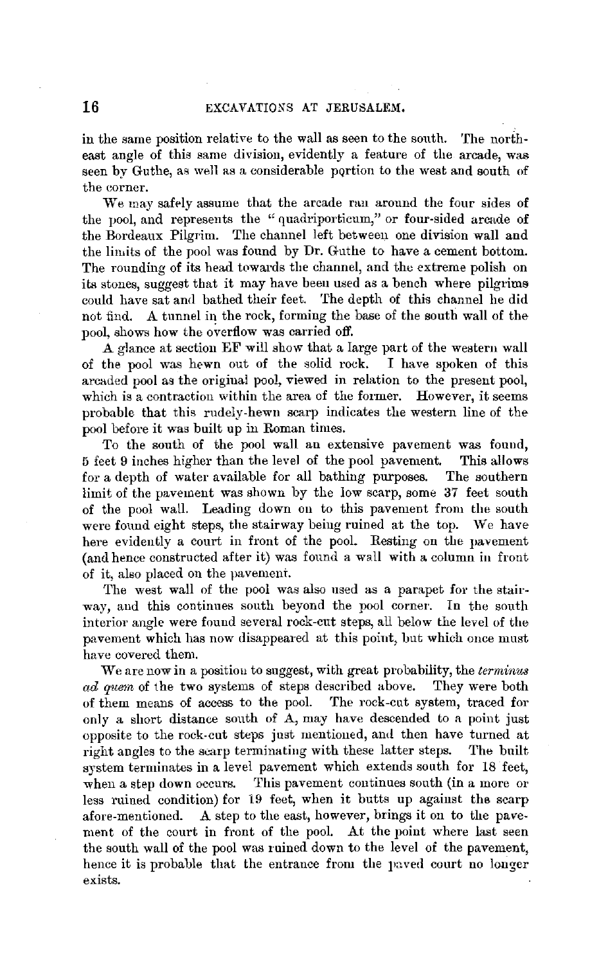in the same position relative to the wall as seen to the south. The northeast angle of this same division, evidently a feature of the arcade, was seen by Guthe, as well as a considerable portion to the west and south of the corner.

We may safely assume that the arcade ran around the four sides of the pool, and represents the "quadriporticum," or four-sided arcade of the Bordeaux Pilgrim. The channel left between one division wall aud the limits of the pool was found by Dr. Guthe to have a cement bottom. The rounding of its head towards the channel, and the extreme polish on its stones, suggest that it may have been used as a bench where pilgrims could have sat and bathed their feet. The depth of this channel he did not find. A tunnel in the rock, forming the base of the south wall of the pool, shows how the overflow was carried off.

A glance at section EF will show that a large part of the western wall of the pool was hewn out of the solid rock. I have spoken of this arcaded pool as the original pool, viewed in relation to the present pool, which is a contraction within the area of the former. However, it seems probable that this rudely-hewn scarp indicates the western line of the pool before it was built up in Roman times.

To the south of the pool wall an extensive pavement was found, 5 feet 9 inches higher than the level of the pool pavement. This allows for a depth of water available for all bathing purposes. The southern limit of the pavement was shown by the low scarp, some 37 feet south of the pool wall. Leading down on to this pavement from the south were found eight steps, the stairway being ruined at the top. We have here evidently a court in front of the pool. Resting on the pavement (and hence constructed after it) was found a wall with a column in front of it, also placed on the pavement.

The west wall of the pool was also used as a parapet for the stairway, and this continues south beyond the pool corner. In the south interior angle were fouud several rock-cut steps, all below the level of the pavement which has now disappeared at this point, but which once must have covered them.

We are now in a positiou to suggest, with great probability, the *terminus*  ad quem of the two systems of steps described above. They were both of them means of access to the pool. The rock-cut system, traced for only a short distance south of A, may have descended to a point just opposite to the rock-cut steps just mentioned, and then have turned at right angles to the scarp terminating with these latter steps. The built right angles to the scarp terminating with these latter steps. system terminates in a level pavement which extends south for 18 feet, when a step down occurs. This pavement continues south (in a more or less ruined condition) for 19 feet, when it butts up against the scarp afore-mentioned. A step to the east, however, brings it on to the pavement of the court in front of the pool. At the point where last seen the south wall of the pool was mined down to the level of the pavement, hence it is probable that the entrance from the paved court no longer exists.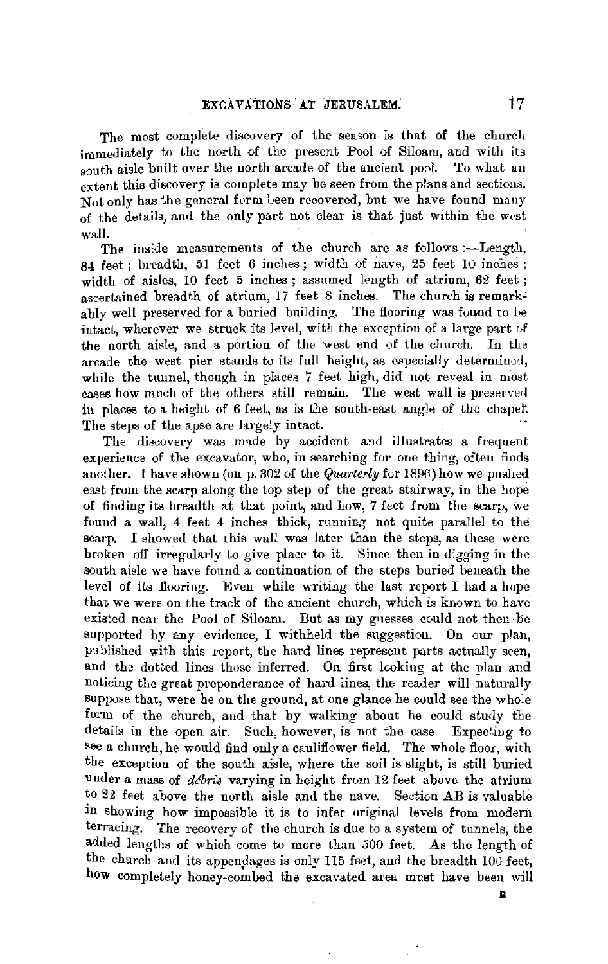The most complete discovery of the season is that of the church immediately to the north of the present Pool of Siloam, and with its south aisle built over the north arcade of the ancient pool. To what an  $\epsilon$  extent this discovery is complete may be seen from the plans and sections. Not only has the general form been recovered, but we have found many of the details, and the only part not clear is that just within the west wall.

The inside measurements of the church are as follows :-- Length, 84 feet; breadth, 51 feet 6 inches; width of nave, 25 feet 10 inches ; width of aisles, 10 feet 5 inches ; assumed length of atrium, 62 feet ; agcertained breadth of atrium, 17 feet 8 inches. The church is remarkably well preserved for a buried building. The flooring was found to be intact, wherever we struck its level, with the exception of a large part of the north aisle, and a portion of the west end of the church. In the arcade the west pier stands to its full height, as especially determined. while the tunnel, though in places  $7$  feet high, did not reveal in most cases how much of the others still remain. The west wall is preserved in places to a height of 6 feet, as is the south-east angle of the chapet The steps of the apse are largely intact.

The discovery was made by accident and illustrates a frequent experience of the excavator, who, in searching for one thing, often finds another. I have shown (on p. 302 of the  $\mathcal{Q}_{\text{water}}$  for 1896) how we pushed east from the scarp along the top step of the great stairway, in the hope of finding its breadth at that point, and how, 7 feet from the scarp, we found a wall, 4 feet 4 inches thick, running not quite parallel to the scarp. I showed that this wall was later than the steps, as these were broken off irregularly to give place to it. Since then in digging in the south aisle we have found a continuation of the steps buried beneath the level of its flooring. Even while writing the last report I had a hope that we were on the track of the ancient church, which is known to have existed near the Pool of Siloam. But as my guesses could not then be supported by any evidence, I withheld the suggestion. On our plan, published with this report, the hard lines represent parts actually seen, and the dotted lines those inferred. On first looking at the plan and noticing the great preponderance of hard lines, the reader will naturally suppose that, were he on the ground, at one glance he could see the whole form of the church, and that by walking about he could study the details in the open air. Such, however, is not the case Expecting to see a church, he would find only a cauliflower field. The whole floor, with the exception of the south aisle, where the soil is slight, is still buried under a mass of *debris* varying in height from 12 feet above the atrium to 22 feet above the north aisle and the nave. Section AB is valuable in showing how impossible it is to infer original levels from modern terracing. The recovery of the church is due to a system of tunnels, the added lengths of which come to more than 500 feet. As the length of the church and its appendages is only 115 feet, and the breadth 100 feet, how completely honey-combed the excavated area must have been will

 $\mathbf{p}$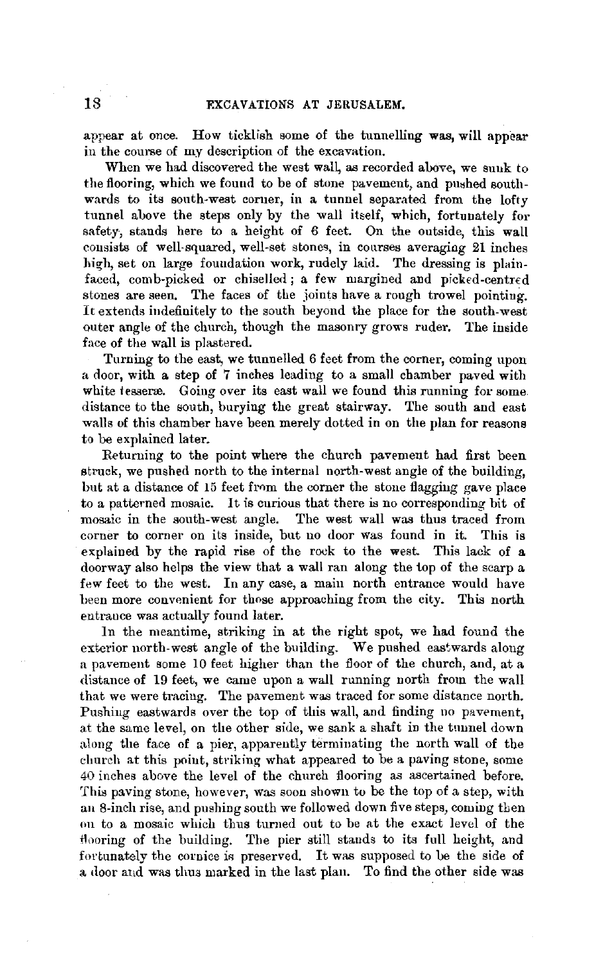appear at once. How ticklish some of the tunnelling **was, will** appear in the course of my description of the excavation.

When we had discovered the west wall, as recorded above, we suuk to the flooring, which we found to be of stone pavement, and pushed southwards to its south-west corner, in a tunnel separated from the lofty tunnel above the steps only by the wall itself, which, fortunately for safety, stands here to a height of 6 feet. On the outside, this wall consists of well-squared, well-set stones, in courses averaging 21 inches high, set on large foundation work, rudely laid. The dressing is plainfaced, comb-picked or chiselled; a few margined and picked-centred stones are seen. The faces of the joints have a rough trowel pointing. It extends indefinitely to the south beyond the place for the south-west outer angle of the church, though the masonry grows ruder. The inside face of the wall is plastered.

Turning to the east, we tunnelled 6 feet from the corner, coming upon a door, with a step of 7 inches leading to a small chamber paved with white tesserse. Going over its east wall we found this running for some distance to the south, burying the great stairway. The south and east walls of this chamber have been merely dotted in on the plan for reasons to be explained later.

Returning to the point where the church pavement had first been struck, we pushed north to the internal north-west angle of the building, but at a distance of 15 feet from the corner the stone flagging gave place to a patterned mosaic. It is curious that there is no corresponding bit of mosaic in the south-west angle. The west wall was thus traced from corner to corner on its inside, but no door was found in it. This is explained by the rapid rise of the rock to the west. This lack of a doorway also helps the view that a wall ran along the top of the scarp a few feet to the west. In any case, a main north entrance would have been more convenient for those approaching from the city. This north entrance was actually found later.

In the meantime, striking in at the right spot, we had found the exterior north-west angle of the building. We pushed eastwards along a pavement some 10 feet higher than the floor of the church, and, at a distance of 19 feet, we came upon a wall running north from the wall that we were tracing. The pavement was traced for some distance north. Pushing eastwards over the top of this wall, and finding no pavement, at the same level, on the other side, we sank a shaft in the tunnel down along the face of a pier, apparently terminating the north wall of the church at this point, striking what appeared to be a paving stone, some 40 inches above the level of the church flooring as ascertained before. This paving stone, however, was soon shown to be the top of a step, with an 8-inch rise, and pushing south we followed down five steps, coming then on to a mosaic which tlrns turned out to be at the exact level of the flooring of the building. The pier still stands to its full height, and fortunately the cornice is preserved. It was supposed to be the side of a door and was thus marked in the last plan. To find the other side was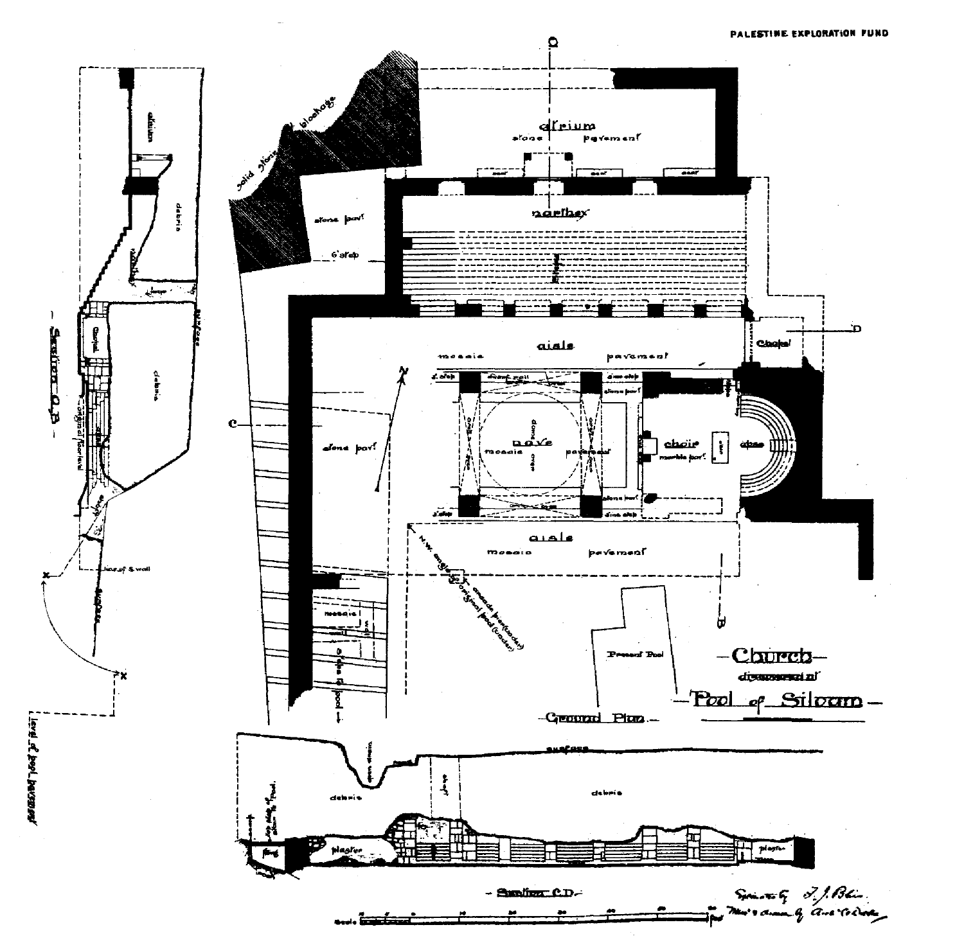

**Ford To Bool, participally**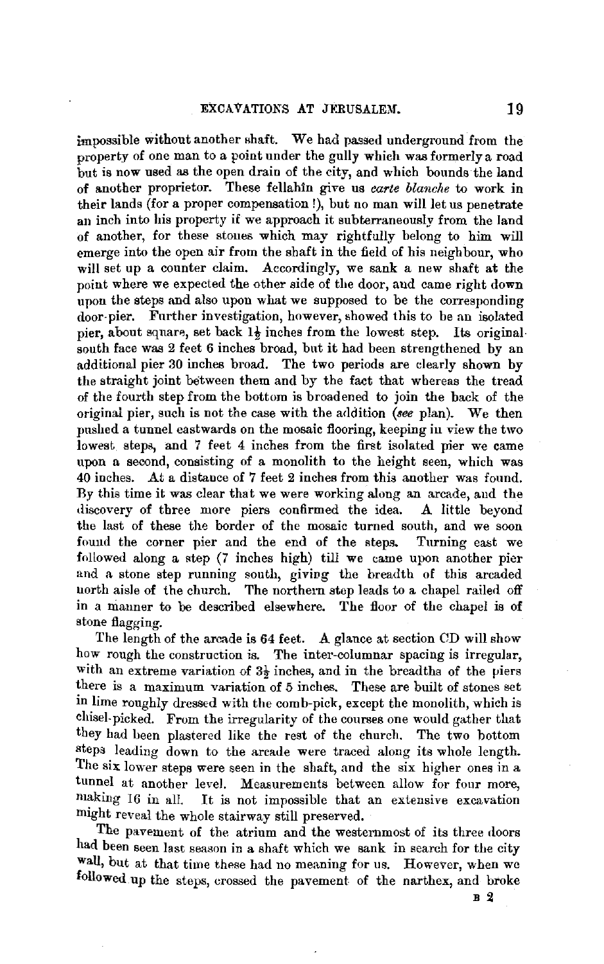impossible without another shaft. We had passed underground from the property of one man to a point under the gully which was formerly a road but is now used as the open drain of the city, and which bounds the land of another proprietor. These fellahin give us *earte blanehe* to work in their lands (for a proper compensation!), but no man will let us penetrate an inch into his property if we approach it subterraneously from the laud of another, for these stones which may rightfully belong to him will emerge into the open air from the shaft in the field of his neighbour, who will set up a counter claim. Accordingly, we sank a new shaft at the point where we expected the other side of the door, and came right down upon the steps and also upon what we supposed to be the corresponding door-pier. Further investigation, however, showed this to be an isolated pier, about square, set back  $1\frac{1}{2}$  inches from the lowest step. Its originalsouth face was 2 feet 6 inches broad, bnt it had been strengthened by an additional pier 30 inches broad. The two periods are clearly shown by the straight joint between them and by the fact that whereas the tread of the fourth step from the bottom is broadened to join the back of the original pier, such is not the case with the addition *(see* plan). We then pushed a tunnel eastwards on the mosaic flooring, keeping in view the two lowest steps, and 7 feet 4 inches from the first isolated pier we came upon a second, consisting of a monolith to the height seen, which was 40 inches. At a distance of 7 feet 2 inches from this another was found. By this time it was clear that we were working along an arcade, and the discovery of three more piers confirmed the idea. A little beyond the last of these the border of the mosaic turned south, and we soon found the corner pier and the end of the steps. Turning east we followed along a step (7 inches high) till we came upon another pier and a stone step running south, giving the breadth of this arcaded north aisle of the church. The northern step leads to a chapel railed off in a manner to be described elsewhere. The floor of the chapel is of stone flagging.

The length of the arcade is 64 feet. A glance at section CD will show how rough the construction is. The inter-columnar spacing is irregular, with an extreme variation of  $3\frac{1}{2}$  inches, and in the breadths of the piers there is a maximum variation of 5 inches. These are built of stones set in lime roughly dressed with the comb-pick, except the monolith, which is chisel.picked. From the irregularity of the courses one would gather that they had been plastered like the rest of the church. The two bottom steps leading down to the arcade were traced along its whole length. The six lower steps were seen in the shaft, and the six higher ones in a tunnel at another level. Measurements between allow for four more, making 16 in all It is not impossible that an extensive excavation It is not impossible that an extensive excavation might reveal the whole stairway still preserved.

The pavement of the atrium and the westernmost of its three doors had been seen last season in a shaft which we sank in search for the city **wall,** but at that time these had no meaning for us. However, when we followed.up the steps, crossed the pavement of the narthex, and broke

**B 2**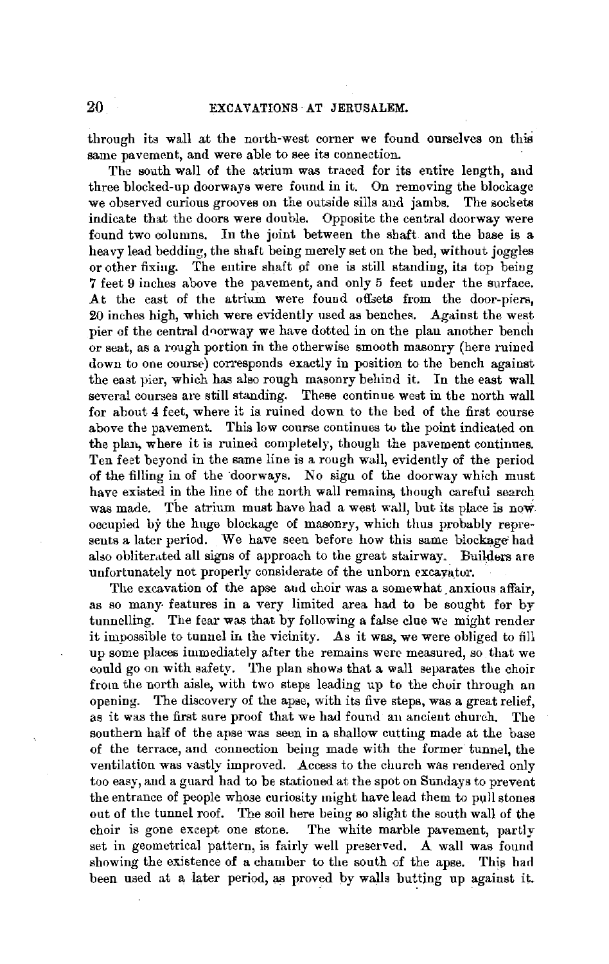through its wall at the north-west corner *we* found ourselvea on this same pavement, and were able to see its connection.

The south wall of the atrium was traced for its entire length, and three blocked-up doorways were found in it. On removing the blockage we observed curious grooves on the outside sills and jambs. The sockets indicate that the doors were double. Opposite the central doorway were found two columns. In the joint between the shaft and the base is a heavy lead bedding, the shaft being merely set on the bed, without joggles or other fixing. The entire shaft of one is still standing, its top being **7** feet 9 inches above the pavement, and only 5 feet under the surface. At the east of the atrium were found offsets from the door-piers, 20 inches high, which were evidently used as benches. Against the west pier of the central doorway we have dotted in on the plan another bench or seat, as a rough portion in the otherwise smooth masonry (here ruined down to one course) corresponds exactly in position to the bench against the eaat pier, which has also rough masonry behind it. In the east wall several courses are still standing. These continue west in the north wall for about 4 feet, where it is ruined down to the bed of the first course above the pavement. This low course continues to the point indicated on the plan, where it is ruined completely, though the pavement continues. Ten feet beyond in the same line is a rough wall, evidently of the period of the filling in of the doorways. No sign of the doorway which must have existed in the line of the north wall remains, though careful search was made. The atrium must have had a west wall, but its place is now occupied by the huge blockage of masonry, which thus probably represents a later period. We have seen before how this same blockage had also obliterated all signs of approach to the great stairway. Builders are unfortunately not properly considerate of the unborn excayator.

The excavation of the apse and choir was a somewhat anxious affair. as so many- features in a very limited area had to be sought for by tunnelling. The fear was that by following a false clue we might render it impossible to tunnel in the vicinity. As it was, we were obliged to fill up some places immediately after the remains were measmed, so that we could go on with safety. The plan shows that a wall separates the choir from the north aisle, with two steps leading up to the choir through an opening. The discovery of the apse, with its five steps, was a great relief, as it was the first sure proof that we had found an ancient church. The southern half of the apse was seen in a shallow cutting made at the base of the terrace, and connection being made with the former tunnel, the ventilation was vastly improved. Access to the church was rendered only too easy, and a guard had to be stationed at the spot on Sundays to prevent the entrance of people whose curiosity might have lead them to pull stones out of the tunnel roof. The soil here being so slight the south wall of the choir is gone except one stone. The white marble pavement, partly set in geometrical pattern, is fairly well preserved. A wall was found showing the existence of a chamber to the south of the apse. This had been used at a later period, as proved by walls butting up against it.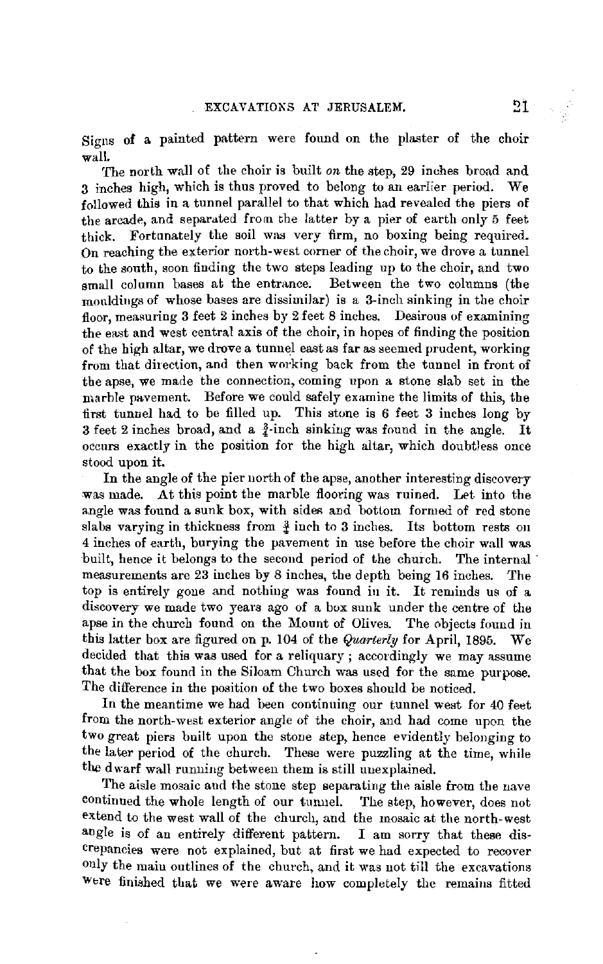Signs **of** a painted pattern were found on the plaster of the choir wall.

The north wall of the choir is built *on* the step, 29 inches broad and 3 inches high, which is thus proved to belong to an earlier period. **We**  followed this in a tunnel parallel to that which had revealed the piers of the arcade, and separated from the latter by a pier of earth only 5 feet thick. Fortunately the soil was very firm, no boxing being required. On reaching the exterior north-west corner of the choir, we drove a tunnel to the south, soon finding the two steps leading up to the choir, and two small column bases at the entrance. Between the two columns (the rnonldiugs of whose bases are dissimilar) is a 3-inch sinking in the choir floor, measuring 3 feet 2 inches by 2 feet 8 inches. Desirous of examining the east and west central axis of the choir, in hopes of finding the position of the high altar, we drove a tunnel east as far as seemed prudent, working from that direction, and then working back from the tunnel in front of the apse, we made the connection, coming upon a stone slab set in the marble pavement. Before we could safely examine the limits of this, the first tunnel had to be filled up. This stone is 6 feet 3 inches long by 3 feet 2 inches broad, and a  $\frac{3}{4}$ -inch sinking was found in the angle. It occurs exactly in the position for the high altar, which doubtless once stood upon it.

In the angle of the pier north of the apse, another interesting discovery was made. At this point the marble flooring was ruined. Let into the angle was found a sunk box, with sides and bottom formed of red stone slabs varying in thickness from  $\frac{3}{4}$  inch to 3 inches. Its bottom rests on 4 inches of earth, burying the pavement in use before the choir wall was built, hence it belongs to the second period of the church. The internal measurements are 23 inches by 8 inches, the depth being 16 inches. The top is entirely gone and nothing was found in it. It reminds us of a discovery we made two years ago of a box sunk under the centre of the apse in the church found on the Mount of Olives. The objects found in this latter box are figured on p. 104 of the *Quarterly* for April, 1895. We decided that this was used for a reliquary ; accordingly we may assume that the box found in the Siloam Church was used for the same purpose. The difference in the position of the two boxes should be noticed.

In the meantime we had been continuing our tunnel west for 40 feet from the north-west exterior angle of the choir, and had come upon the two great piers built upon the stone step, hence evidently belonging to the later period of the church. These were puzzling at the time, while the dwarf wall running between them is still uuexplained.

The aisle mosaic and the stone step separating the aisle from the nave continued the whole length of our tunnel. The step, however, does not extend to the west wall of the church, and the mosaic at the north-west angle is of an entirely different pattern. I am sorry that these discrepancies were not explained, but at first we had expected to recover only the main outlines of the church, and it was not till the excavations Wtre finished that we were aware how completely the remains fitted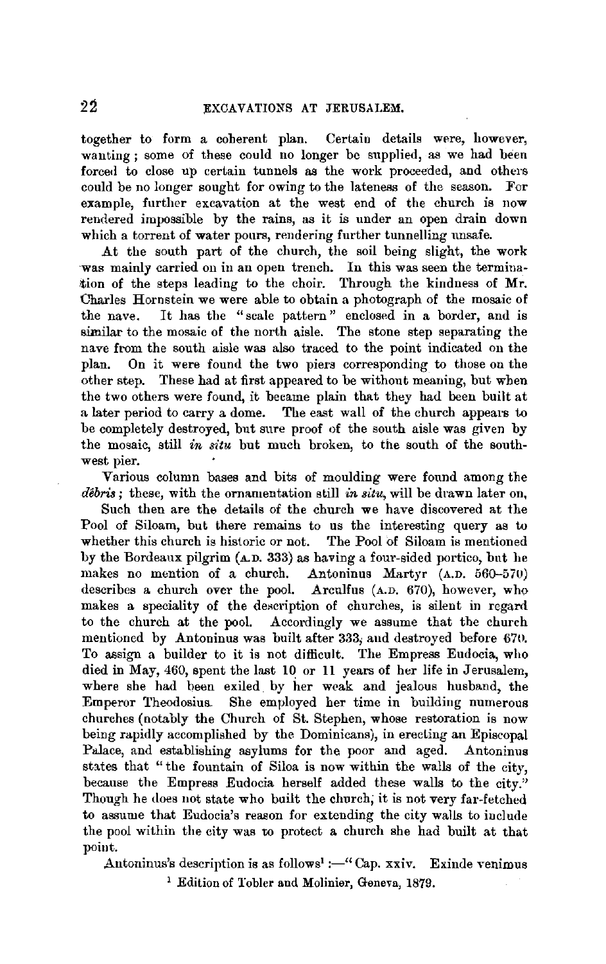together to form a coherent plan. Certain details were, however, wanting ; some of these could no longer be supplied, as we had been forced to close up certain tunnels as the work proceeded, and others could be no longer sought for owing to the lateness of the season. For example, further excavation at the west end of the church is now rendered impossible by the rains, as it is under an open drain down which a torrent of water pours, rendering further tunnelling unsafe.

At the south part of the church, the soil being slight, the work was mainly carried on in an open trench. In this was seen the termination of the steps leading to the choir. Through the kindness of Mr. Charles Hornstein we were able to obtain a photograph of the mosaic of the nave. It has the "scale pattern" enclosed in a border, and is similar to the mosaic of the north aisle. The stone step separating the nave from the south aisle was also traced to the point indicated on the plan. On it were found the two piers corresponding to those on the other step. These had at first appeared to be without meaning, but when the two others were found, it became **plain** that they had been built at a later period to carry a dome. The east wall of the church appears to be completely destroyed, but sure proof of the south aisle was given by the mosaic, still *in situ* but much broken, to the south of the southwest pier.

Various column bases and bits of moulding were found among tbe *debris* ; these, with the ornamentation still *in situ,* will be drawn later on,

Such then are the details of the church we have discovered at the Pool of Siloam, but there remains to us the interesting query as to whether this church is historic or not. The Pool of Siloam is mentioned by the Bordeaux pilgrim (A.D. 333) as having a four-sided portico, but he makes no mention of a church. Antoninus Martyr (A.D. 560-570) describes a church over the pool. Arculfus (A.D. 670), however, who makes a speciality of the description of churches, is silent in regard to the church at the pool. Accordingly we assume that the church mentioned by Antoninus was built after 333; and destroyed before 670. To assign a builder to it is not difficult. The Empress Eudocia, who died in May, 460, spent the last 10 or 11 years of her life in Jerusalem, where she had been exiled. by her weak and jealous husband, the Emperor Theodosius, She employed her time in building numerous churches (notably the Church of St. Stephen, whose restoration is now being rapidly accomplished by the Dominicans), in erecting an Episcopal Palace, and establishing asylums for the poor and aged. Antoninus states that " the fountain of Siloa is now within the walls of the city, because the Empress Eudocia herself added these walls to the city." Though he does not state who built the church; it is not very far-fetched to assume that Eudocia's reason for extending the city walls to include the pool within the city was to protect a church she had built at that point.

Antoninus's description is as follows<sup>1</sup> :-" Cap. xxiv. Exinde venimus

<sup>1</sup> Edition of Tobler and Molinier, Geneva, 1879.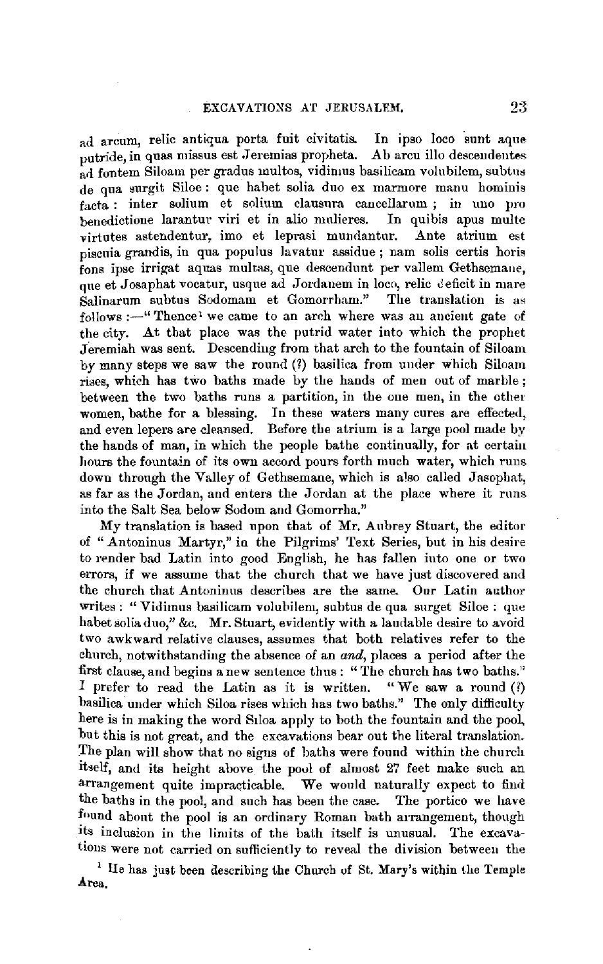ad arcum, relic antiqua porta fuit civitatis. In ipso loco sunt aque putride, in quas missus est Jeremias propheta. Ab arcu illo descendentes ad fontem Siloam per gradus multos, vidimus basilicam volubilem, subtus de qua surgit Siloe : que habet solia duo ex marmore manu hominis facta : inter solium et solium clausura cancellarum ; in uno pro benedictione larantur viri et in alio mnlieres. In quibis apus multe virtntes astendentur, imo et leprasi mundantur. Ante atrium est piscuia grandis, in qua populus lavatur assidue; nam solis certis horis fons ipse irrigat aquas multas, que descendunt per vallem Gethsemane, que et Josaphat vocatur, usque ad Jordanem in loco, relic deficit in mare  $S$ alinarum subtus Sodomam et Gomorrham." The translation is as  $follows := "Theree' we came to an arch where was an ancient gate of$ the city. *At* that place was the putrid water into which the prophet Jeremiah was sent. Descending from that arch to the fountain of Siloam by many steps we saw the round (1) basilica from under which Siloam rises, which has two baths made by the hands of men out of marble ; between the two baths runs a partition, in the one men, in the other women, bathe for a blessing. In these waters many cures are effected, and even lepers are cleansed. Before the atrium is a large pool made by the hands of man, in which the people bathe continually, for at certain hours the fountain of its own accord pours forth much water, which runs down through the Valley of Gethsemane, which is also called Jasophat, as far as the Jordan, and enters the Jordan at the place where it runs into the Salt Sea below Sodom and Gomorrha."

My translation is based upon that of Mr. Aubrey Stuart, the editor of "Antoninus Martyr," in the Pilgrims' Text Series, but in his desire to render bad Latin into good English, he has fallen into one or two errors, if we assume that the church that we have just discovered and the church that Antoninus describes are the same. Our Latin author writes : "Vidimus basilicam volubilem, subtus de qua surget Siloe : que habet solia duo," &c. Mr. Stuart, evidently with a laudable desire to avoid two awkward relative clauses, assumes that both relatives refer to the church, notwithstanding the absence of an *and,* places a period after the first clause, and begins a new sentence thus: "The church has two baths."<br>I prefer to read the Latin as it is written. "We saw a round (?) I prefer to read the Latin as it is written. basilica under which Siloa rises which has two baths.'' The only difficulty here is in making the word S1loa apply to both the fountain and the pool, but this is not great, and the excavations bear ont the literal translation. The plan will show that no signs of baths were found within the church itielf, and its height above the pool of almost 27 feet make such an arrangement quite impracticable. We would naturally expect to find the baths in the pool, and such has been the case. The portico we have found about the pool is an ordinary Roman bath arrangement, though its inclusion in the limits of the bath itself is unusual. The excavatious were not carried on sufficiently to reveal the division between the

1 IIe has just been describing the Church uf St. **Mary's** within the Temple **Area.**